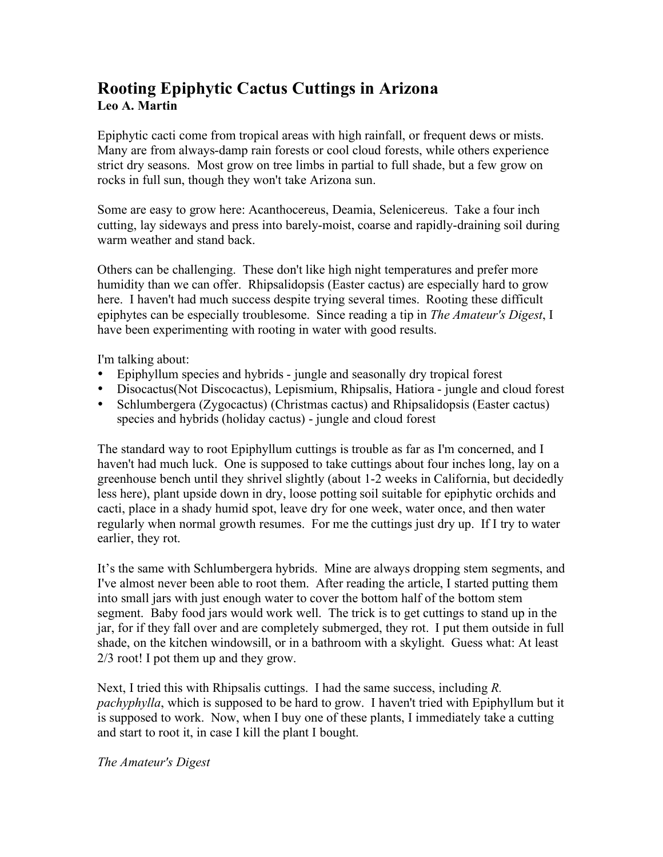## **Rooting Epiphytic Cactus Cuttings in Arizona Leo A. Martin**

Epiphytic cacti come from tropical areas with high rainfall, or frequent dews or mists. Many are from always-damp rain forests or cool cloud forests, while others experience strict dry seasons. Most grow on tree limbs in partial to full shade, but a few grow on rocks in full sun, though they won't take Arizona sun.

Some are easy to grow here: Acanthocereus, Deamia, Selenicereus. Take a four inch cutting, lay sideways and press into barely-moist, coarse and rapidly-draining soil during warm weather and stand back

Others can be challenging. These don't like high night temperatures and prefer more humidity than we can offer. Rhipsalidopsis (Easter cactus) are especially hard to grow here. I haven't had much success despite trying several times. Rooting these difficult epiphytes can be especially troublesome. Since reading a tip in *The Amateur's Digest*, I have been experimenting with rooting in water with good results.

I'm talking about:

- Epiphyllum species and hybrids jungle and seasonally dry tropical forest
- Disocactus(Not Discocactus), Lepismium, Rhipsalis, Hatiora jungle and cloud forest
- Schlumbergera (Zygocactus) (Christmas cactus) and Rhipsalidopsis (Easter cactus) species and hybrids (holiday cactus) - jungle and cloud forest

The standard way to root Epiphyllum cuttings is trouble as far as I'm concerned, and I haven't had much luck. One is supposed to take cuttings about four inches long, lay on a greenhouse bench until they shrivel slightly (about 1-2 weeks in California, but decidedly less here), plant upside down in dry, loose potting soil suitable for epiphytic orchids and cacti, place in a shady humid spot, leave dry for one week, water once, and then water regularly when normal growth resumes. For me the cuttings just dry up. If I try to water earlier, they rot.

It's the same with Schlumbergera hybrids. Mine are always dropping stem segments, and I've almost never been able to root them. After reading the article, I started putting them into small jars with just enough water to cover the bottom half of the bottom stem segment. Baby food jars would work well. The trick is to get cuttings to stand up in the jar, for if they fall over and are completely submerged, they rot. I put them outside in full shade, on the kitchen windowsill, or in a bathroom with a skylight. Guess what: At least 2/3 root! I pot them up and they grow.

Next, I tried this with Rhipsalis cuttings. I had the same success, including *R. pachyphylla*, which is supposed to be hard to grow. I haven't tried with Epiphyllum but it is supposed to work. Now, when I buy one of these plants, I immediately take a cutting and start to root it, in case I kill the plant I bought.

*The Amateur's Digest*